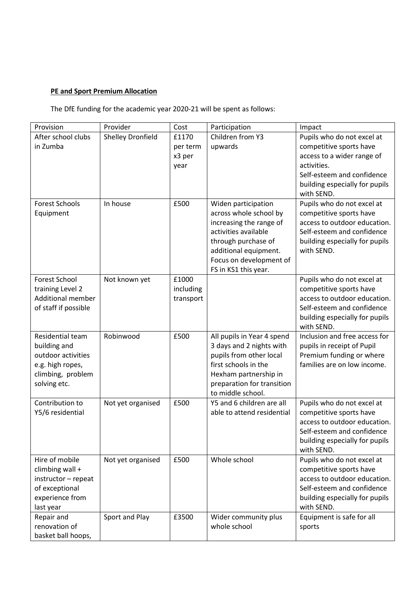## **PE and Sport Premium Allocation**

The DfE funding for the academic year 2020-21 will be spent as follows:

| Provision                                    | Provider                 | Cost      | Participation              | Impact                                                  |
|----------------------------------------------|--------------------------|-----------|----------------------------|---------------------------------------------------------|
| After school clubs                           | <b>Shelley Dronfield</b> | £1170     | Children from Y3           | Pupils who do not excel at                              |
| in Zumba                                     |                          | per term  | upwards                    | competitive sports have                                 |
|                                              |                          | x3 per    |                            | access to a wider range of                              |
|                                              |                          | year      |                            | activities.                                             |
|                                              |                          |           |                            | Self-esteem and confidence                              |
|                                              |                          |           |                            | building especially for pupils                          |
|                                              |                          |           |                            | with SEND.                                              |
| <b>Forest Schools</b>                        | In house                 | £500      | Widen participation        | Pupils who do not excel at                              |
| Equipment                                    |                          |           | across whole school by     | competitive sports have                                 |
|                                              |                          |           | increasing the range of    | access to outdoor education.                            |
|                                              |                          |           | activities available       | Self-esteem and confidence                              |
|                                              |                          |           | through purchase of        | building especially for pupils                          |
|                                              |                          |           | additional equipment.      | with SEND.                                              |
|                                              |                          |           | Focus on development of    |                                                         |
|                                              |                          |           | FS in KS1 this year.       |                                                         |
| <b>Forest School</b>                         | Not known yet            | £1000     |                            | Pupils who do not excel at                              |
| training Level 2<br><b>Additional member</b> |                          | including |                            | competitive sports have<br>access to outdoor education. |
|                                              |                          | transport |                            | Self-esteem and confidence                              |
| of staff if possible                         |                          |           |                            | building especially for pupils                          |
|                                              |                          |           |                            | with SEND.                                              |
| Residential team                             | Robinwood                | £500      | All pupils in Year 4 spend | Inclusion and free access for                           |
| building and                                 |                          |           | 3 days and 2 nights with   | pupils in receipt of Pupil                              |
| outdoor activities                           |                          |           | pupils from other local    | Premium funding or where                                |
| e.g. high ropes,                             |                          |           | first schools in the       | families are on low income.                             |
| climbing, problem                            |                          |           | Hexham partnership in      |                                                         |
| solving etc.                                 |                          |           | preparation for transition |                                                         |
|                                              |                          |           | to middle school.          |                                                         |
| Contribution to                              | Not yet organised        | £500      | Y5 and 6 children are all  | Pupils who do not excel at                              |
| Y5/6 residential                             |                          |           | able to attend residential | competitive sports have                                 |
|                                              |                          |           |                            | access to outdoor education.                            |
|                                              |                          |           |                            | Self-esteem and confidence                              |
|                                              |                          |           |                            | building especially for pupils                          |
|                                              |                          |           |                            | with SEND.                                              |
| Hire of mobile                               | Not yet organised        | £500      | Whole school               | Pupils who do not excel at                              |
| climbing wall +                              |                          |           |                            | competitive sports have                                 |
| instructor - repeat                          |                          |           |                            | access to outdoor education.                            |
| of exceptional                               |                          |           |                            | Self-esteem and confidence                              |
| experience from                              |                          |           |                            | building especially for pupils                          |
| last year                                    |                          |           |                            | with SEND.                                              |
| Repair and                                   | Sport and Play           | £3500     | Wider community plus       | Equipment is safe for all                               |
| renovation of                                |                          |           | whole school               | sports                                                  |
| basket ball hoops,                           |                          |           |                            |                                                         |